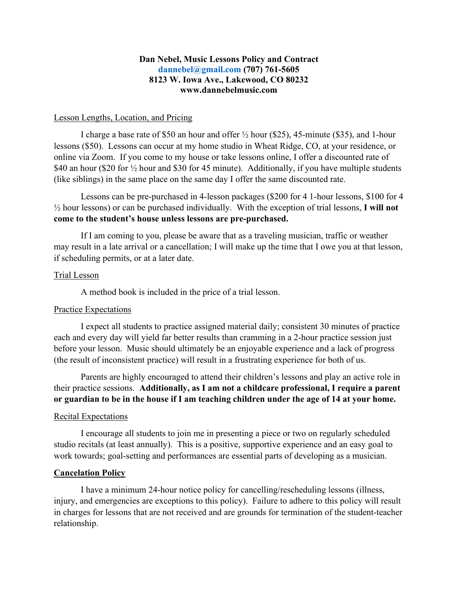### **Dan Nebel, Music Lessons Policy and Contract [dannebel@gmail.com](mailto:dannebel@gmail.com) (707) 761-5605 8123 W. Iowa Ave., Lakewood, CO 80232 www.dannebelmusic.com**

### Lesson Lengths, Location, and Pricing

I charge a base rate of \$50 an hour and offer ½ hour (\$25), 45-minute (\$35), and 1-hour lessons (\$50). Lessons can occur at my home studio in Wheat Ridge, CO, at your residence, or online via Zoom. If you come to my house or take lessons online, I offer a discounted rate of \$40 an hour (\$20 for  $\frac{1}{2}$  hour and \$30 for 45 minute). Additionally, if you have multiple students (like siblings) in the same place on the same day I offer the same discounted rate.

Lessons can be pre-purchased in 4-lesson packages (\$200 for 4 1-hour lessons, \$100 for 4 ½ hour lessons) or can be purchased individually. With the exception of trial lessons, **I will not come to the student's house unless lessons are pre-purchased.** 

If I am coming to you, please be aware that as a traveling musician, traffic or weather may result in a late arrival or a cancellation; I will make up the time that I owe you at that lesson, if scheduling permits, or at a later date.

### Trial Lesson

A method book is included in the price of a trial lesson.

#### Practice Expectations

I expect all students to practice assigned material daily; consistent 30 minutes of practice each and every day will yield far better results than cramming in a 2-hour practice session just before your lesson. Music should ultimately be an enjoyable experience and a lack of progress (the result of inconsistent practice) will result in a frustrating experience for both of us.

Parents are highly encouraged to attend their children's lessons and play an active role in their practice sessions. **Additionally, as I am not a childcare professional, I require a parent or guardian to be in the house if I am teaching children under the age of 14 at your home.**

#### Recital Expectations

I encourage all students to join me in presenting a piece or two on regularly scheduled studio recitals (at least annually). This is a positive, supportive experience and an easy goal to work towards; goal-setting and performances are essential parts of developing as a musician.

#### **Cancelation Policy**

I have a minimum 24-hour notice policy for cancelling/rescheduling lessons (illness, injury, and emergencies are exceptions to this policy). Failure to adhere to this policy will result in charges for lessons that are not received and are grounds for termination of the student-teacher relationship.